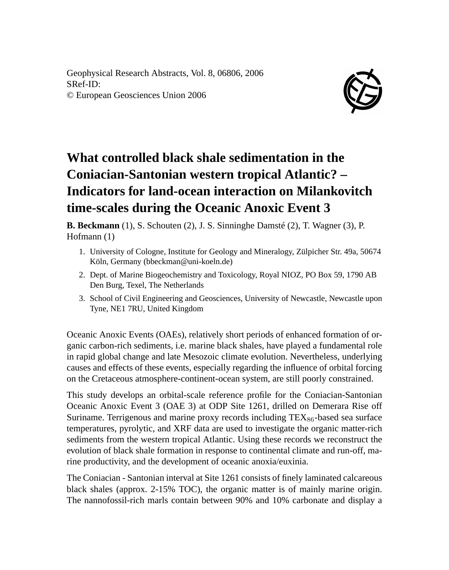Geophysical Research Abstracts, Vol. 8, 06806, 2006 SRef-ID: © European Geosciences Union 2006



## **What controlled black shale sedimentation in the Coniacian-Santonian western tropical Atlantic? – Indicators for land-ocean interaction on Milankovitch time-scales during the Oceanic Anoxic Event 3**

**B. Beckmann** (1), S. Schouten (2), J. S. Sinninghe Damsté (2), T. Wagner (3), P. Hofmann (1)

- 1. University of Cologne, Institute for Geology and Mineralogy, Zülpicher Str. 49a, 50674 Köln, Germany (bbeckman@uni-koeln.de)
- 2. Dept. of Marine Biogeochemistry and Toxicology, Royal NIOZ, PO Box 59, 1790 AB Den Burg, Texel, The Netherlands
- 3. School of Civil Engineering and Geosciences, University of Newcastle, Newcastle upon Tyne, NE1 7RU, United Kingdom

Oceanic Anoxic Events (OAEs), relatively short periods of enhanced formation of organic carbon-rich sediments, i.e. marine black shales, have played a fundamental role in rapid global change and late Mesozoic climate evolution. Nevertheless, underlying causes and effects of these events, especially regarding the influence of orbital forcing on the Cretaceous atmosphere-continent-ocean system, are still poorly constrained.

This study develops an orbital-scale reference profile for the Coniacian-Santonian Oceanic Anoxic Event 3 (OAE 3) at ODP Site 1261, drilled on Demerara Rise off Suriname. Terrigenous and marine proxy records including  $TEX_{86}$ -based sea surface temperatures, pyrolytic, and XRF data are used to investigate the organic matter-rich sediments from the western tropical Atlantic. Using these records we reconstruct the evolution of black shale formation in response to continental climate and run-off, marine productivity, and the development of oceanic anoxia/euxinia.

The Coniacian - Santonian interval at Site 1261 consists of finely laminated calcareous black shales (approx. 2-15% TOC), the organic matter is of mainly marine origin. The nannofossil-rich marls contain between 90% and 10% carbonate and display a